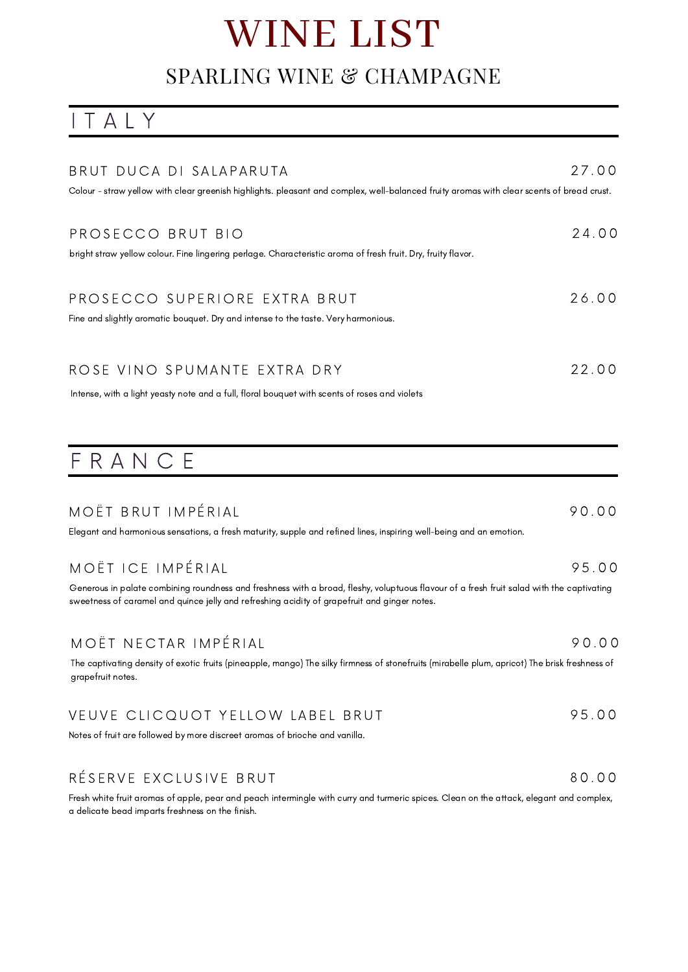# WINE LIST

## SPARLING WINE & CHAMPAGNE

I T A L Y

| BRUT DUCA DI SALAPARUTA<br>Colour - straw yellow with clear greenish highlights. pleasant and complex, well-balanced fruity aromas with clear scents of bread crust.                                                                                           | 27.00 |
|----------------------------------------------------------------------------------------------------------------------------------------------------------------------------------------------------------------------------------------------------------------|-------|
| PROSECCO BRUT BIO<br>bright straw yellow colour. Fine lingering perlage. Characteristic aroma of fresh fruit. Dry, fruity flavor.                                                                                                                              | 24.00 |
| PROSECCO SUPERIORE EXTRA BRUT<br>Fine and slightly aromatic bouquet. Dry and intense to the taste. Very harmonious.                                                                                                                                            | 26.00 |
| ROSE VINO SPUMANTE EXTRA DRY<br>Intense, with a light yeasty note and a full, floral bouquet with scents of roses and violets                                                                                                                                  | 22.00 |
| FRANCE                                                                                                                                                                                                                                                         |       |
|                                                                                                                                                                                                                                                                |       |
| MOËT BRUT IMPÉRIAL<br>Elegant and harmonious sensations, a fresh maturity, supple and refined lines, inspiring well-being and an emotion.                                                                                                                      | 90.00 |
| MOËT ICE IMPÉRIAL<br>Generous in palate combining roundness and freshness with a broad, fleshy, voluptuous flavour of a fresh fruit salad with the captivating<br>sweetness of caramel and quince jelly and refreshing acidity of grapefruit and ginger notes. | 95.00 |
| MOËT NECTAR IMPÉRIAL<br>The captivating density of exotic fruits (pineapple, mango) The silky firmness of stonefruits (mirabelle plum, apricot) The brisk freshness of<br>grapefruit notes.                                                                    | 90.00 |
| VEUVE CLICQUOT YELLOW LABEL BRUT<br>Notes of fruit are followed by more discreet aromas of brioche and vanilla.                                                                                                                                                | 95.00 |

Fresh white fruit aromas of apple, pear and peach intermingle with curry and turmeric spices. Clean on the attack, elegant and complex, a delicate bead imparts freshness on the finish.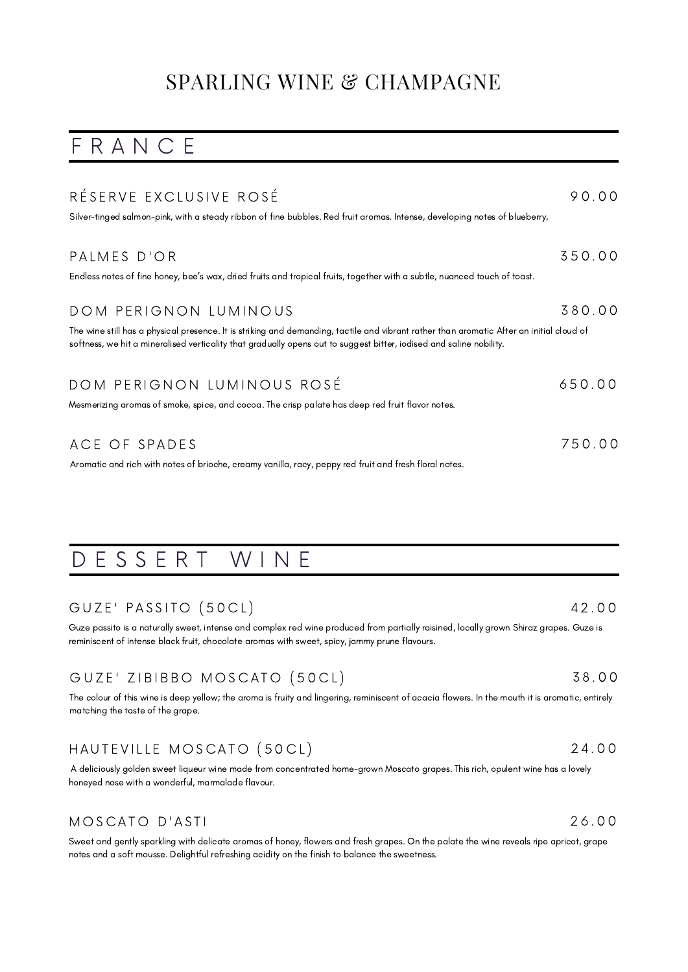## SPARLING WINE & CHAMPAGNE

## F R A N C E

| RÉSERVE EXCLUSIVE ROSÉ                                                                                                                                                                                                                                          | 90.00  |
|-----------------------------------------------------------------------------------------------------------------------------------------------------------------------------------------------------------------------------------------------------------------|--------|
| Silver-tinged salmon-pink, with a steady ribbon of fine bubbles. Red fruit aromas. Intense, developing notes of blueberry,                                                                                                                                      |        |
|                                                                                                                                                                                                                                                                 |        |
| PALMES D'OR                                                                                                                                                                                                                                                     | 350.00 |
| Endless notes of fine honey, bee's wax, dried fruits and tropical fruits, together with a subtle, nuanced touch of toast.                                                                                                                                       |        |
| DOM PERIGNON LUMINOUS                                                                                                                                                                                                                                           | 380.00 |
| The wine still has a physical presence. It is striking and demanding, tactile and vibrant rather than aromatic After an initial cloud of<br>softness, we hit a mineralised verticality that gradually opens out to suggest bitter, iodised and saline nobility. |        |
| DOM PERIGNON LUMINOUS ROSÉ                                                                                                                                                                                                                                      | 650.00 |
| Mesmerizing aromas of smoke, spice, and cocoa. The crisp palate has deep red fruit flavor notes.                                                                                                                                                                |        |
| ACE OF SPADES                                                                                                                                                                                                                                                   | 750.00 |
| Aromatic and rich with notes of brioche, creamy vanilla, racy, peppy red fruit and fresh floral notes.                                                                                                                                                          |        |

## D E S S E R T W I N E

### GUZE' PASSITO (50CL)

Guze passito is a naturally sweet, intense and complex red wine produced from partially raisined, locally grown Shiraz grapes. Guze is reminiscent of intense black fruit, chocolate aromas with sweet, spicy, jammy prune flavours.

## GUZE' ZIBIBBO MOSCATO (50CL)

The colour of this wine is deep yellow; the aroma is fruity and lingering, reminiscent of acacia flowers. In the mouth it is aromatic, entirely matching the taste of the grape.

## HAUTEVILLE MOSCATO (50CL)

A deliciously golden sweet liqueur wine made from concentrated home-grown Moscato grapes. This rich, opulent wine has a lovely honeyed nose with a wonderful, marmalade flavour.

### MOSCATO D'ASTI

Sweet and gently sparkling with delicate aromas of honey, flowers and fresh grapes. On the palate the wine reveals ripe apricot, grape notes and a soft mousse. Delightful refreshing acidity on the finish to balance the sweetness.

## 4 2 . 0 0

3 8 . 0 0

2 4 . 0 0

2 6 . 0 0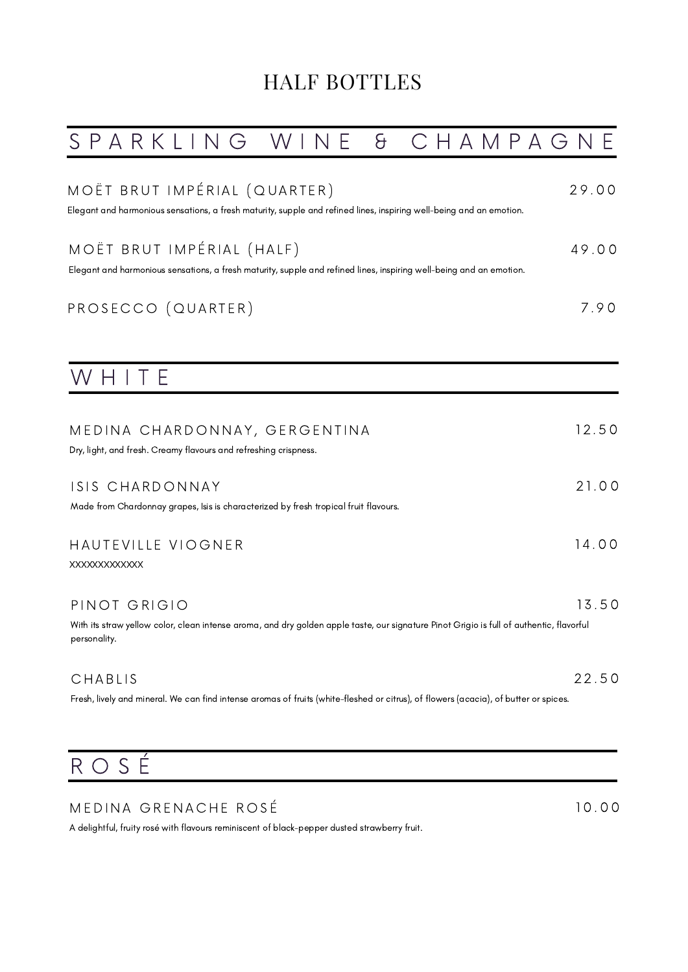## HALF BOTTLES

| SPARKLING WIN<br>$\Theta$<br>CHAMPAGN                                                                                                                                    |       |
|--------------------------------------------------------------------------------------------------------------------------------------------------------------------------|-------|
| MOËT BRUT IMPÉRIAL (QUARTER)<br>Elegant and harmonious sensations, a fresh maturity, supple and refined lines, inspiring well-being and an emotion.                      | 29.00 |
| MOËT BRUT IMPÉRIAL (HALF)<br>Elegant and harmonious sensations, a fresh maturity, supple and refined lines, inspiring well-being and an emotion.                         | 49.00 |
| PROSECCO (QUARTER)                                                                                                                                                       | 7.90  |
| WHITE                                                                                                                                                                    |       |
| MEDINA CHARDONNAY, GERGENTINA<br>Dry, light, and fresh. Creamy flavours and refreshing crispness.                                                                        | 12.50 |
| ISIS CHARDONNAY<br>Made from Chardonnay grapes, Isis is characterized by fresh tropical fruit flavours.                                                                  | 21.00 |
| HAUTEVILLE VIOGNER<br><b>XXXXXXXXXXXXX</b>                                                                                                                               | 14.00 |
| PINOT GRIGIO<br>With its straw yellow color, clean intense aroma, and dry golden apple taste, our signature Pinot Grigio is full of authentic, flavorful<br>personality. | 13.50 |
| CHABLIS<br>Fresh, lively and mineral. We can find intense aromas of fruits (white-fleshed or citrus), of flowers (acacia), of butter or spices.                          | 22.50 |

1 0 . 0 0

# R O S É

## MEDINA GRENACHE ROSÉ

A delightful, fruity rosé with flavours reminiscent of black-pepper dusted strawberry fruit.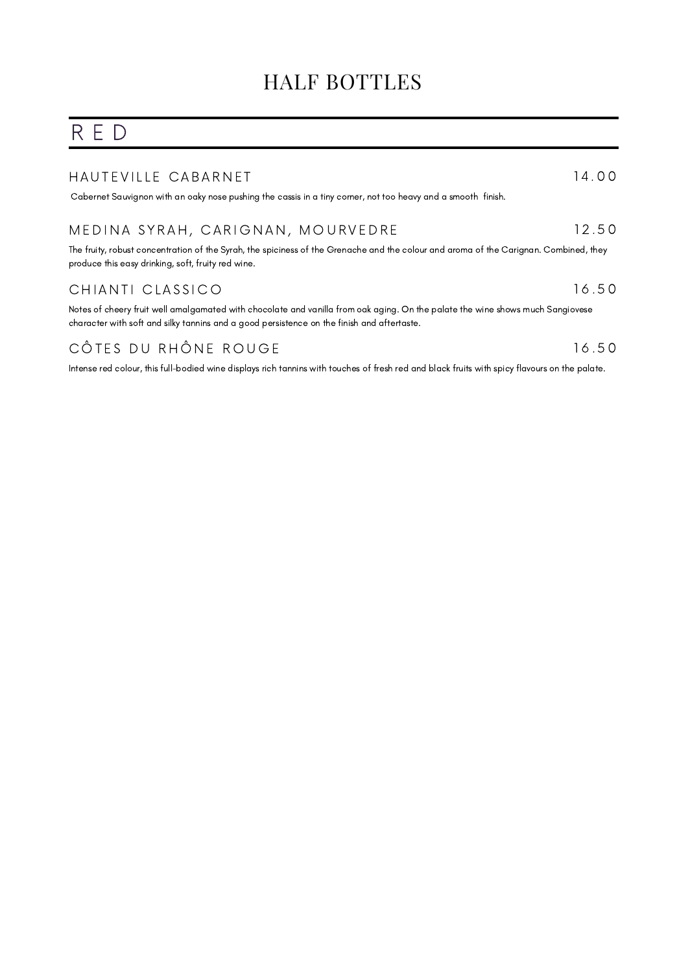## HALF BOTTLES

## R E D

### HAUTEVILLE CABARNET

[C](https://www.vivino.com/users/ferdid/reviews/72683965)abernet [Sauvignon](https://www.vivino.com/users/ferdid/reviews/72683965) with an oaky nose pushing the cassis in a tiny corner, not too heavy and a smoot[h](https://www.vivino.com/users/ferdid/reviews/72683965) [finish.](https://www.vivino.com/users/ferdid/reviews/72683965)

#### MEDINA SYRAH, CARIGNAN, MOURVEDRE 1 2 . 5 0

1 4 . 0 0

1 6 . 5 0

1 6 . 5 0

The fruity, robust concentration of the Syrah, the spiciness of the Grenache and the colour and aroma of the Carignan. Combined, they produce this easy drinking, soft, fruity red wine.

### CHIANTI CLASSICO

Notes of cheery fruit well amalgamated with chocolate and vanilla from oak aging. On the palate the wine shows much Sangiovese character with soft and silky tannins and a good persistence on the finish and aftertaste.

## CÔTES DU RHÔNE ROUGE

Intense red colour, this full-bodied wine displays rich tannins with touches of fresh red and black fruits with spicy flavours on the palate.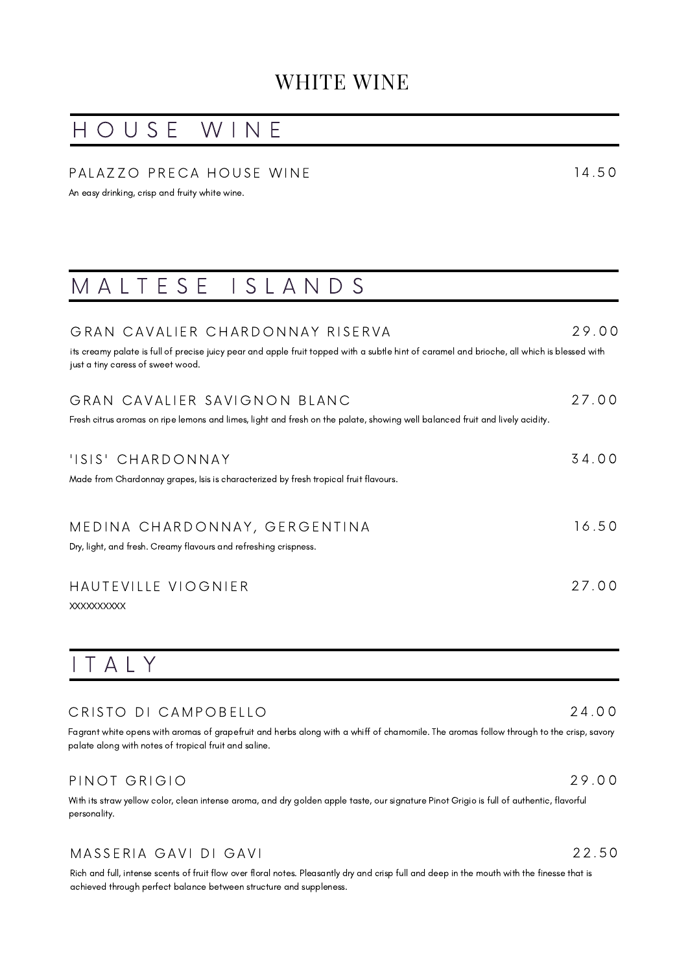## H O U S E W I N E

### PALAZZO PRECA HOUSE WINE

An easy drinking, crisp and fruity white wine.

## M A L T E S E I S L A N D S

### GRAN CAVALIER CHARDONNAY RISERVA

its creamy palate is full of precise juicy pear and apple fruit topped with a subtle hint of caramel and brioche, all which is blessed with just a tiny caress of sweet wood.

#### GRAN CAVALIER SAVIGNON BLANC 2 7 . 0 0

Fresh citrus aromas on ripe lemons and limes, light and fresh on the palate, showing well balanced fruit and lively acidity.

| 'ISIS' CHARDONNAY                                                                    | 3400  |
|--------------------------------------------------------------------------------------|-------|
| Made from Chardonnay grapes, Isis is characterized by fresh tropical fruit flavours. |       |
|                                                                                      |       |
| MEDINA CHARDONNAY, GERGENTINA                                                        | 16.50 |

Dry, light, and fresh. Creamy flavours and refreshing crispness.

### HAUTEVILLE VIOGNIER

XXXXXXXXXX

## I T A L Y

### CRISTO DI CAMPOBELLO

Fagrant white opens with aromas of grapefruit and herbs along with a whiff of chamomile. The aromas follow through to the crisp, savory palate along with notes of tropical fruit and saline.

### PINOT GRIGIO

With its straw yellow color, clean intense aroma, and dry golden apple taste, our signature Pinot Grigio is full of authentic, flavorful personality.

### MASSERIA GAVI DI GAVI

Rich and full, intense scents of fruit flow over floral notes. Pleasantly dry and crisp full and deep in the mouth with the finesse that is achieved through perfect balance between structure and suppleness.

2 7 . 0 0

2 4 . 0 0

1 4 . 5 0

2 9 . 0 0

2 9 . 0 0

2 2 . 5 0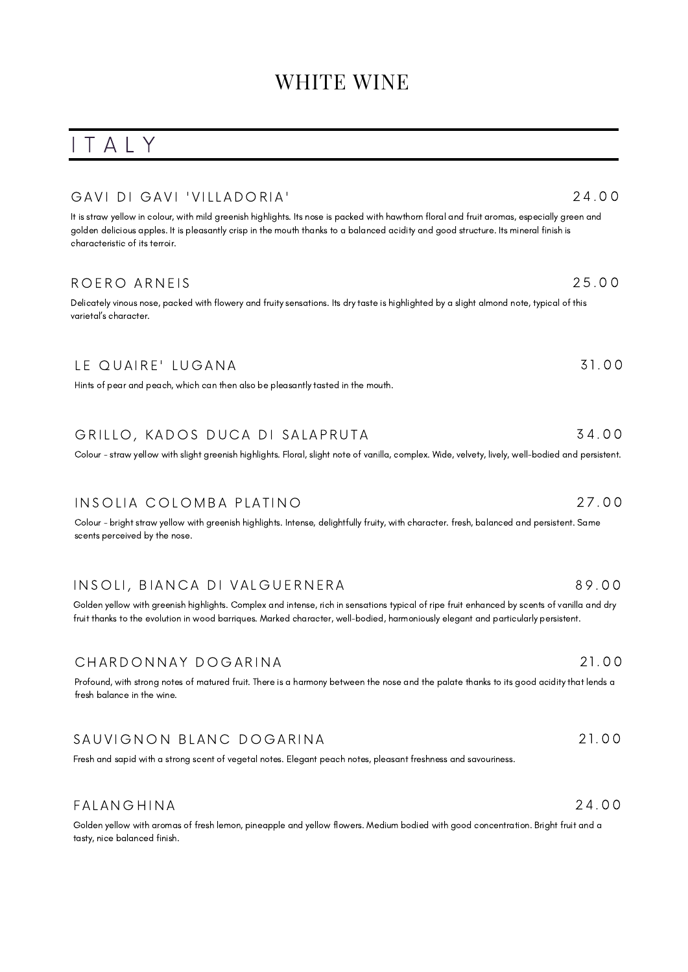## I T A L Y

### GAVI DI GAVI 'VILLADORIA'

It is straw yellow in colour, with mild greenish highlights. Its nose is packed with hawthorn floral and fruit aromas, especially green and golden delicious apples. It is pleasantly crisp in the mouth thanks to a balanced acidity and good structure. Its mineral finish is characteristic of its terroir.

### ROERO ARNEIS

Delicately vinous nose, packed with flowery and fruity sensations. Its dry taste is highlighted by a slight almond note, typical of this varietal's character.

### LE QUAIRE' LUGANA 3 1. 0 0

Hints of pear and peach, which can then also be pleasantly tasted in the mouth.

#### GRILLO, KADOS DUCA DI SALAPRUTA 3 4 . 0 0

Colour - straw yellow with slight greenish highlights. Floral, slight note of vanilla, complex. Wide, velvety, lively, well-bodied and persistent.

### INSOLIA COLOMBA PLATINO

Colour - bright straw yellow with greenish highlights. Intense, delightfully fruity, with character. fresh, balanced and persistent. Same scents perceived by the nose.

### INSOLI, BIANCA DI VALGUERNERA

Golden yellow with greenish highlights. Complex and intense, rich in sensations typical of ripe fruit enhanced by scents of vanilla and dry fruit thanks to the evolution in wood barriques. Marked character, well-bodied, harmoniously elegant and particularly persistent.

### CHARDONNAY DOGARINA

Profound, with strong notes of matured fruit. There is a harmony between the nose and the palate thanks to its good acidity that lends a fresh balance in the wine.

### SAUVIGNON BLANC DOGARINA

Fresh and sapid with a strong scent of vegetal notes. Elegant peach notes, pleasant freshness and savouriness.

### **FALANGHINA**

Golden yellow with aromas of fresh lemon, pineapple and yellow flowers. Medium bodied with good concentration. Bright fruit and a tasty, nice balanced finish.

## 2 1. 0 0

### 2 4 . 0 0

2 5 . 0 0

- 2 7 . 0 0
- 8 9 . 0 0

2 4 . 0 0

2 1. 0 0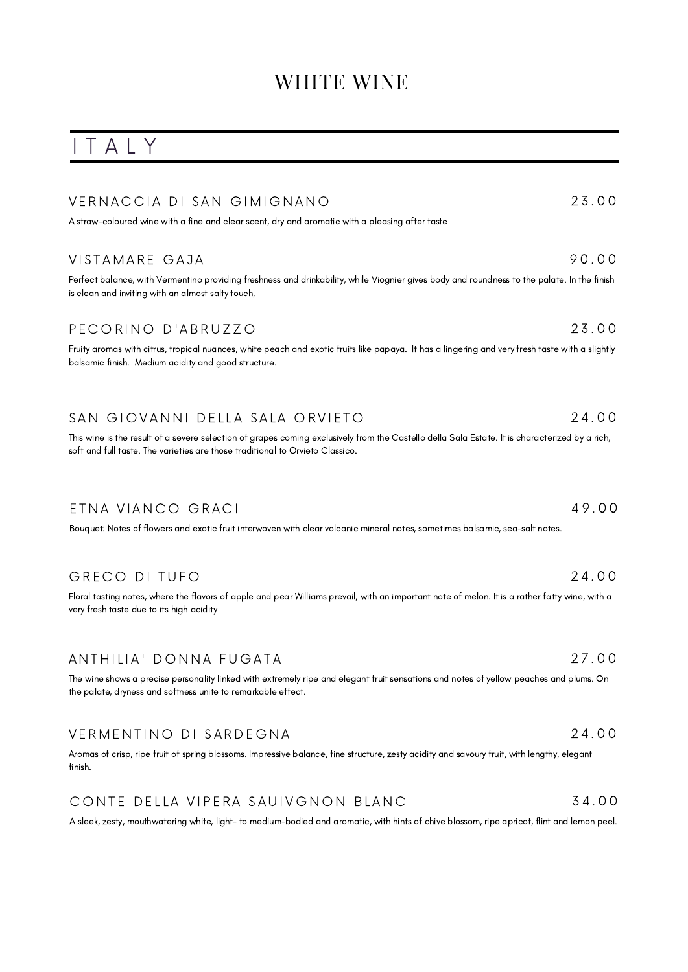## I T A L Y

| VERNACCIA DI SAN GIMIGNANO                                                                                                                                                                                                      | 23.00 |
|---------------------------------------------------------------------------------------------------------------------------------------------------------------------------------------------------------------------------------|-------|
| A straw-coloured wine with a fine and clear scent, dry and aromatic with a pleasing after taste                                                                                                                                 |       |
|                                                                                                                                                                                                                                 |       |
| VISTAMARE GAJA                                                                                                                                                                                                                  | 90.00 |
| Perfect balance, with Vermentino providing freshness and drinkability, while Viognier gives body and roundness to the palate. In the finish<br>is clean and inviting with an almost salty touch,                                |       |
| PECORINO D'ABRUZZO                                                                                                                                                                                                              | 23.00 |
| Fruity aromas with citrus, tropical nuances, white peach and exotic fruits like papaya. It has a lingering and very fresh taste with a slightly<br>balsamic finish. Medium acidity and good structure.                          |       |
| SAN GIOVANNI DELLA SALA ORVIETO                                                                                                                                                                                                 | 24.00 |
| This wine is the result of a severe selection of grapes coming exclusively from the Castello della Sala Estate. It is characterized by a rich,<br>soft and full taste. The varieties are those traditional to Orvieto Classico. |       |
| ETNA VIANCO GRACI<br>Bouquet: Notes of flowers and exotic fruit interwoven with clear volcanic mineral notes, sometimes balsamic, sea-salt notes.                                                                               | 49.00 |
| GRECO DI TUFO<br>Floral tasting notes, where the flavors of apple and pear Williams prevail, with an important note of melon. It is a rather fatty wine, with a<br>very fresh taste due to its high acidity                     | 24.00 |
| ANTHILIA' DONNA FUGATA                                                                                                                                                                                                          | 27.00 |
| The wine shows a precise personality linked with extremely ripe and elegant fruit sensations and notes of yellow peaches and plums. On<br>the palate, dryness and softness unite to remarkable effect.                          |       |
|                                                                                                                                                                                                                                 |       |

Aromas of crisp, ripe fruit of spring blossoms. Impressive balance, fine structure, zesty acidity and savoury fruit, with lengthy, elegant finish.

#### CONTE DELLA VIPERA SAUIVGNON BLANC 3 4 . 0 0

A sleek, zesty, mouthwatering white, light- to medium-bodied and aromatic, with hints of chive blossom, ripe apricot, flint and lemon peel.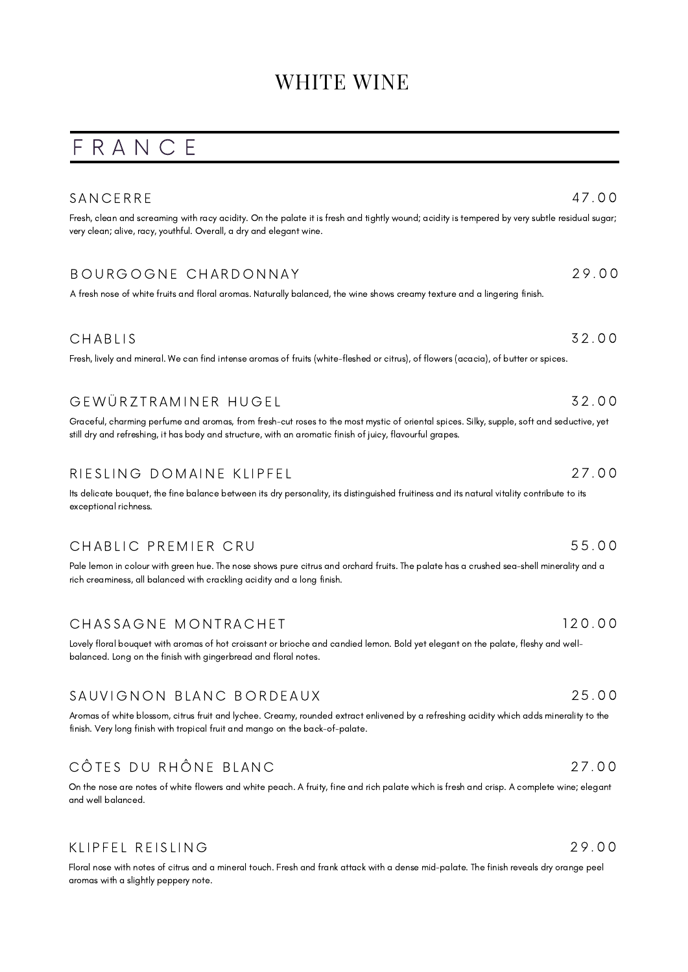## F R A N C E

| SANCERRE                                                                                                                                                                                                                                               | 47.00  |
|--------------------------------------------------------------------------------------------------------------------------------------------------------------------------------------------------------------------------------------------------------|--------|
| Fresh, clean and screaming with racy acidity. On the palate it is fresh and tightly wound; acidity is tempered by very subtle residual sugar;<br>very clean; alive, racy, youthful. Overall, a dry and elegant wine.                                   |        |
| BOURGOGNE CHARDONNAY                                                                                                                                                                                                                                   | 29.00  |
| A fresh nose of white fruits and floral aromas. Naturally balanced, the wine shows creamy texture and a lingering finish.                                                                                                                              |        |
| CHABLIS                                                                                                                                                                                                                                                | 32.00  |
| Fresh, lively and mineral. We can find intense aromas of fruits (white-fleshed or citrus), of flowers (acacia), of butter or spices.                                                                                                                   |        |
| GEWÜRZTRAMINER HUGEL                                                                                                                                                                                                                                   | 32.00  |
| Graceful, charming perfume and aromas, from fresh-cut roses to the most mystic of oriental spices. Silky, supple, soft and seductive, yet<br>still dry and refreshing, it has body and structure, with an aromatic finish of juicy, flavourful grapes. |        |
| RIESLING DOMAINE KLIPFEL                                                                                                                                                                                                                               | 27.00  |
| Its delicate bouquet, the fine balance between its dry personality, its distinguished fruitiness and its natural vitality contribute to its<br>exceptional richness.                                                                                   |        |
| CHABLIC PREMIER CRU                                                                                                                                                                                                                                    | 55.00  |
| Pale lemon in colour with green hue. The nose shows pure citrus and orchard fruits. The palate has a crushed sea-shell minerality and a<br>rich creaminess, all balanced with crackling acidity and a long finish.                                     |        |
| CHASSAGNE MONTRACHET                                                                                                                                                                                                                                   | 120.00 |
| Lovely floral bouquet with aromas of hot croissant or brioche and candied lemon. Bold yet elegant on the palate, fleshy and well-<br>balanced. Long on the finish with gingerbread and floral notes.                                                   |        |
| SAUVIGNON BLANC BORDEAUX                                                                                                                                                                                                                               | 25.00  |
| Aromas of white blossom, citrus fruit and lychee. Creamy, rounded extract enlivened by a refreshing acidity which adds minerality to the<br>finish. Very long finish with tropical fruit and mango on the back-of-palate.                              |        |
| CÔTES DU RHÔNE BLANC                                                                                                                                                                                                                                   | 27.00  |
| On the nose are notes of white flowers and white peach. A fruity, fine and rich palate which is fresh and crisp. A complete wine; elegant                                                                                                              |        |

KLIPFEL REISLING

and well balanced.

Floral nose with notes of citrus and a mineral touch. Fresh and frank attack with a dense mid-palate. The finish reveals dry orange peel aromas with a slightly peppery note.

2 9 . 0 0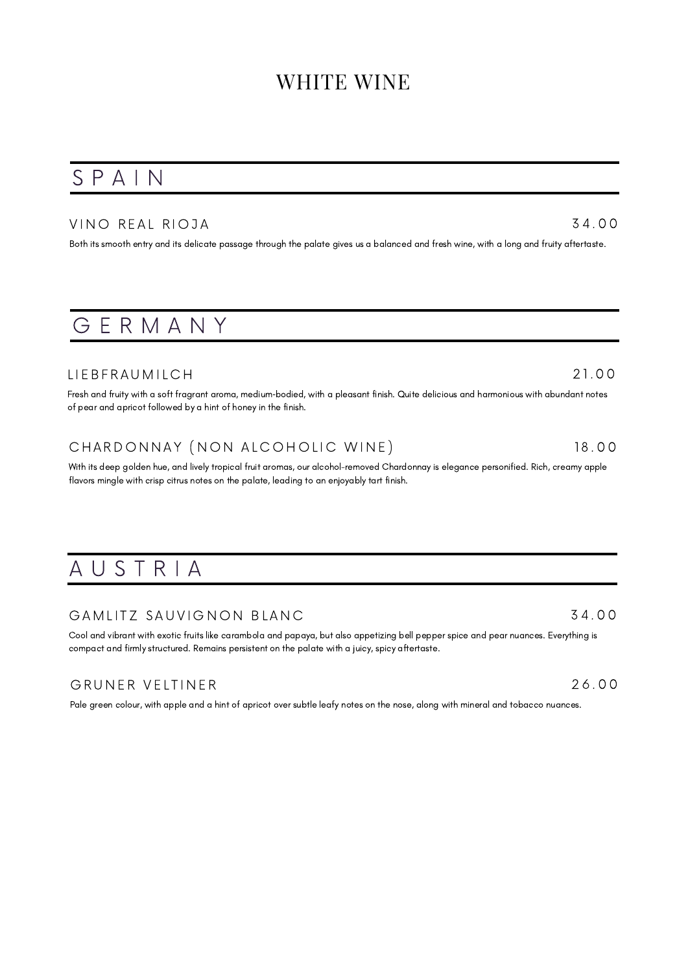## S P A I N

### VINO REAL RIOJA

Both its smooth entry and its delicate passage through the palate gives us a balanced and fresh wine, with a long and fruity aftertaste.

## G E R M A N Y

### LIE B F R A U M I L C H

Fresh and fruity with a soft fragrant aroma, medium‐bodied, with a pleasant finish. Quite delicious and harmonious with abundant notes of pear and apricot followed by a hint of honey in the finish.

## CHARDONNAY (NON ALCOHOLIC WINE)

With its deep golden hue, and lively tropical fruit aromas, our alcohol-removed Chardonnay is elegance personified. Rich, creamy apple flavors mingle with crisp citrus notes on the palate, leading to an enjoyably tart finish.

## A U S T R I A

### GAMLITZ SAUVIGNON BLANC

Cool and vibrant with exotic fruits like carambola and papaya, but also appetizing bell pepper spice and pear nuances. Everything is compact and firmly structured. Remains persistent on the palate with a juicy, spicy aftertaste.

### GRUNER VELTINER

Pale green colour, with apple and a hint of apricot over subtle leafy notes on the nose, along with mineral and tobacco nuances.

3 4 . 0 0

2 6 . 0 0

3 4 . 0 0

2 1. 0 0

1 8 . 0 0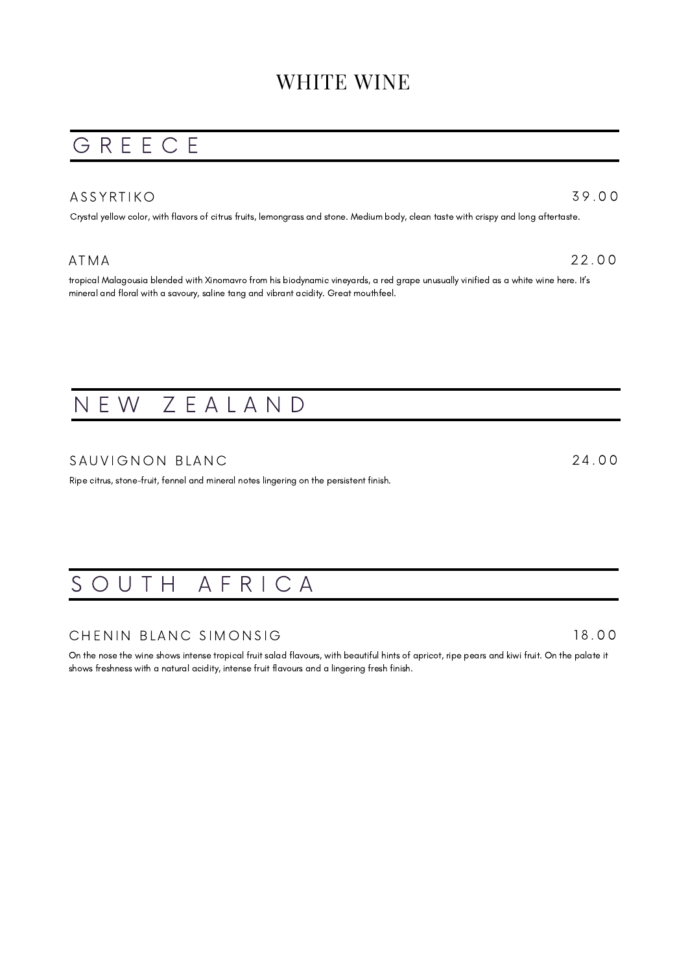## G R E E C E

### A S S Y R T I K O

Crystal yellow color, with flavors of citrus fruits, lemongrass and stone. Medium body, clean taste with crispy and long aftertaste.

### A T M A

tropical Malagousia blended with Xinomavro from his biodynamic vineyards, a red grape unusually vinified as a white wine here. It's mineral and floral with a savoury, saline tang and vibrant acidity. Great mouthfeel.

## N E W Z E A L A N D

### SAUVIGNON BLANC

Ripe citrus, stone-fruit, fennel and mineral notes lingering on the persistent finish.

## SOUTH AFRICA

### CHENIN BLANC SIMONSIG

On the nose the wine shows intense tropical fruit salad flavours, with beautiful hints of apricot, ripe pears and kiwi fruit. On the palate it shows freshness with a natural acidity, intense fruit flavours and a lingering fresh finish.

1 8 . 0 0

2 2 . 0 0

3 9 . 0 0

2 4 . 0 0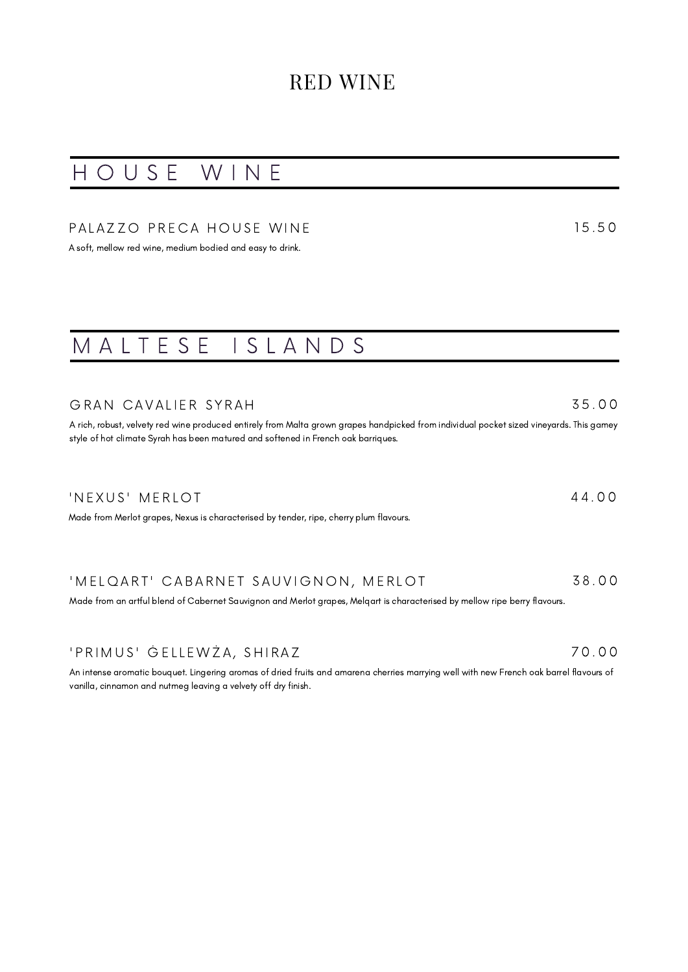## H O U S E W I N E

### PALAZZO PRECA HOUSE WINE

A soft, mellow red wine, medium bodied and easy to drink.

## M A L T E S E I S L A N D S

### GRAN CAVALIER SYRAH

A rich, robust, velvety red wine produced entirely from Malta grown grapes handpicked from individual pocket sized vineyards. This gamey style of hot climate Syrah has been matured and softened in French oak barriques.

### 'N E X U S 'M E R L O T

Made from Merlot grapes, Nexus is characterised by tender, ripe, cherry plum flavours.

#### ' MELQART' CABARNET SAUVIGNON, MERLOT 3 8 . 0 0

Made from an artful blend of Cabernet Sauvignon and Merlot grapes, Melqart is characterised by mellow ripe berry flavours.

### ' P R I M U S ' Ġ E L L E W Ż A , Ś H I R A Z

An intense aromatic bouquet. Lingering aromas of dried fruits and amarena cherries marrying well with new French oak barrel flavours of vanilla, cinnamon and nutmeg leaving a velvety off dry finish.

## 1 5 . 5 0

3 5 . 0 0

4 4 . 0 0

7 0 . 0 0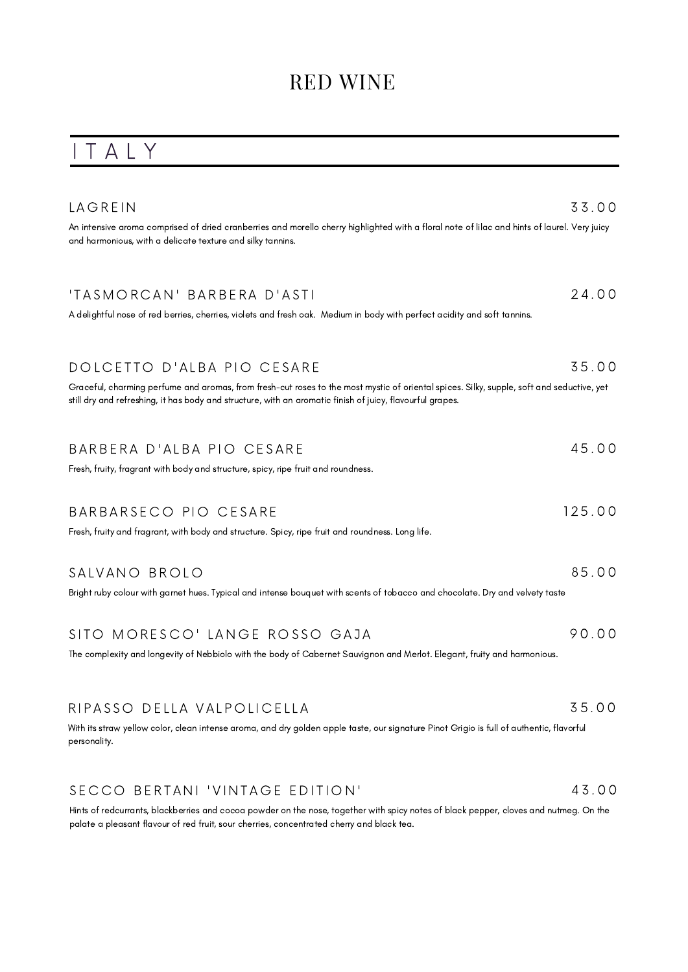## I T A L Y

| LAGREIN                                                                                                                                                                                                                                                | 33.00  |
|--------------------------------------------------------------------------------------------------------------------------------------------------------------------------------------------------------------------------------------------------------|--------|
| An intensive aroma comprised of dried cranberries and morello cherry highlighted with a floral note of lilac and hints of laurel. Very juicy<br>and harmonious, with a delicate texture and silky tannins.                                             |        |
| 'TASMORCAN' BARBERA D'ASTI                                                                                                                                                                                                                             | 24.00  |
| A delightful nose of red berries, cherries, violets and fresh oak. Medium in body with perfect acidity and soft tannins.                                                                                                                               |        |
| DOLCETTO D'ALBA PIO CESARE                                                                                                                                                                                                                             | 35.00  |
| Graceful, charming perfume and aromas, from fresh-cut roses to the most mystic of oriental spices. Silky, supple, soft and seductive, yet<br>still dry and refreshing, it has body and structure, with an aromatic finish of juicy, flavourful grapes. |        |
| BARBERA D'ALBA PIO CESARE                                                                                                                                                                                                                              | 45.00  |
| Fresh, fruity, fragrant with body and structure, spicy, ripe fruit and roundness.                                                                                                                                                                      |        |
| BARBARSECO PIO CESARE                                                                                                                                                                                                                                  | 125.00 |
| Fresh, fruity and fragrant, with body and structure. Spicy, ripe fruit and roundness. Long life.                                                                                                                                                       |        |
| SALVANO BROLO                                                                                                                                                                                                                                          | 85.00  |
| Bright ruby colour with garnet hues. Typical and intense bouquet with scents of tobacco and chocolate. Dry and velvety taste                                                                                                                           |        |
| SITO MORESCO' LANGE ROSSO GAJA                                                                                                                                                                                                                         | 90.00  |
| The complexity and longevity of Nebbiolo with the body of Cabernet Sauvignon and Merlot. Elegant, fruity and harmonious.                                                                                                                               |        |
| RIPASSO DELLA VALPOLICELLA                                                                                                                                                                                                                             | 35.00  |
| With its straw yellow color, clean intense aroma, and dry golden apple taste, our signature Pinot Grigio is full of authentic, flavorful<br>personality.                                                                                               |        |

#### SECCO BERTANI 'VINTAGE EDITION' 4 3 . 0 0

Hints of redcurrants, blackberries and cocoa powder on the nose, together with spicy notes of black pepper, cloves and nutmeg. On the palate a pleasant flavour of red fruit, sour cherries, concentrated cherry and black tea.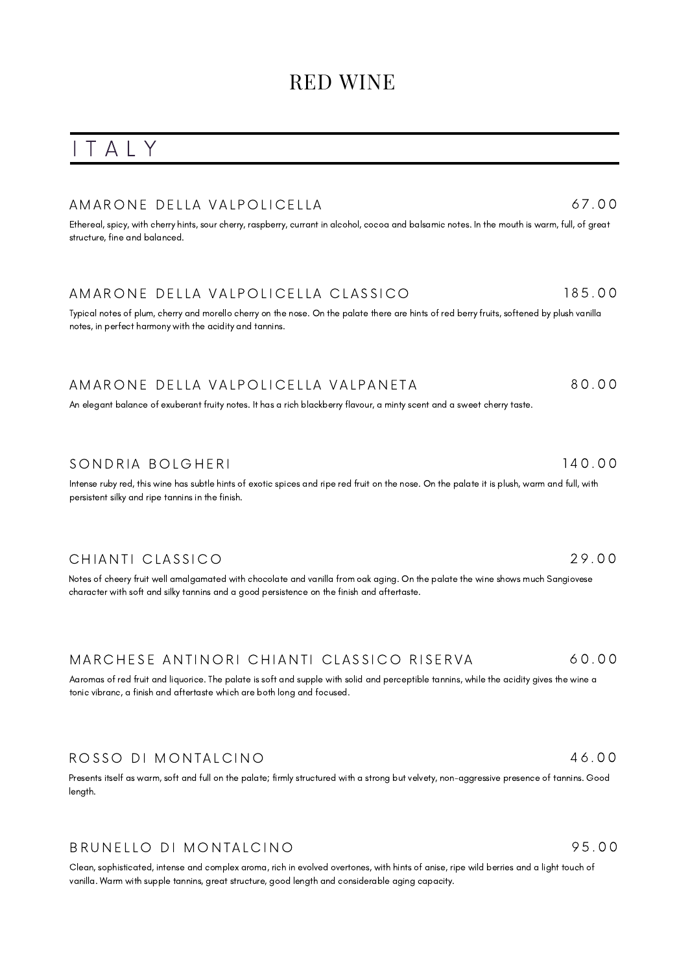## I T A L Y

### A M A R O N E DELLA VALPOLICELLA

Ethereal, spicy, with cherry hints, sour cherry, raspberry, currant in alcohol, cocoa and balsamic notes. In the mouth is warm, full, of great structure, fine and balanced.

#### A MARONE DELLA VALPOLICELLA CLASSICO 1 8 5 . 0 0

Typical notes of plum, cherry and morello cherry on the nose. On the palate there are hints of red berry fruits, softened by plush vanilla notes, in perfect harmony with the acidity and tannins.

#### A MARONE DELLA VALPOLICELLA VALPANETA 8 0 . 0 0

An elegant balance of exuberant fruity notes. It has a rich blackberry flavour, a minty scent and a sweet cherry taste.

### SONDRIA BOLGHERI

Intense ruby red, this wine has subtle hints of exotic spices and ripe red fruit on the nose. On the palate it is plush, warm and full, with persistent silky and ripe tannins in the finish.

### CHIANTI CLASSICO

Notes of cheery fruit well amalgamated with chocolate and vanilla from oak aging. On the palate the wine shows much Sangiovese character with soft and silky tannins and a good persistence on the finish and aftertaste.

#### MARCHESE ANTINORI CHIANTI CLASSICO RISERVA 6 0 . 0 0

Aaromas of red fruit and liquorice. The palate is soft and supple with solid and perceptible tannins, while the acidity gives the wine a tonic vibranc, a finish and aftertaste which are both long and focused.

### ROSSO DI MONTALCINO

Presents itself as warm, soft and full on the palate; firmly structured with a strong but velvety, non-aggressive presence of tannins. Good length.

### BRUNELLO DI MONTALCINO

Clean, sophisticated, intense and complex aroma, rich in evolved overtones, with hints of anise, ripe wild berries and a light touch of vanilla. Warm with supple tannins, great structure, good length and considerable aging capacity.

95 00

2 9 . 0 0

1 4 0 . 0 0

4 6 . 0 0

## 6 7 . 0 0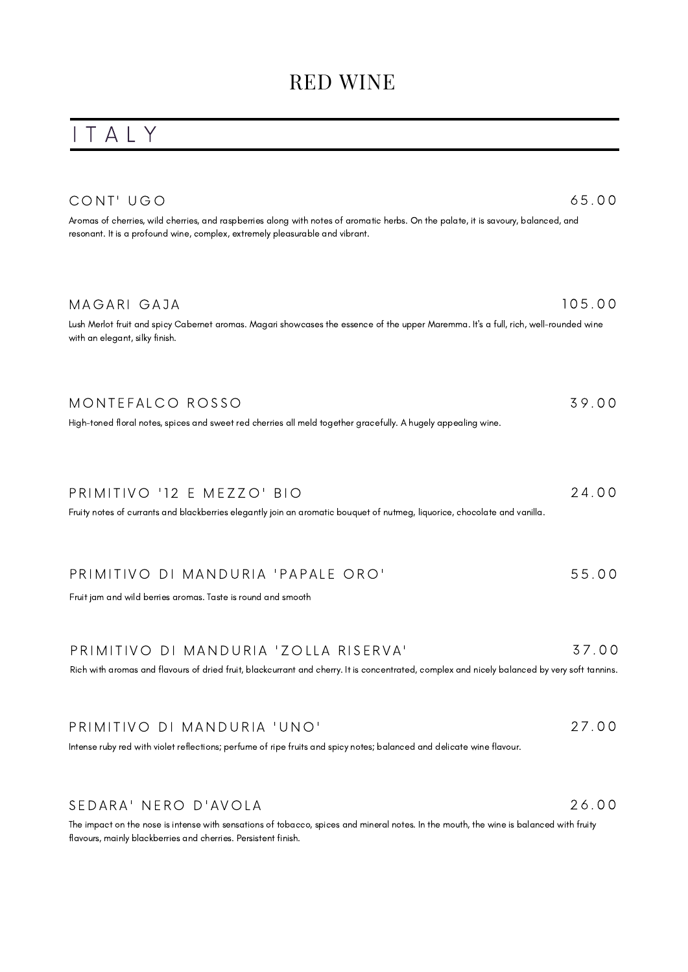## I T A L Y

| CONT' UGO<br>Aromas of cherries, wild cherries, and raspberries along with notes of aromatic herbs. On the palate, it is savoury, balanced, and<br>resonant. It is a profound wine, complex, extremely pleasurable and vibrant. | 65.00  |
|---------------------------------------------------------------------------------------------------------------------------------------------------------------------------------------------------------------------------------|--------|
| MAGARI GAJA<br>Lush Merlot fruit and spicy Cabernet aromas. Magari showcases the essence of the upper Maremma. It's a full, rich, well-rounded wine<br>with an elegant, silky finish.                                           | 105.00 |
| MONTEFALCO ROSSO<br>High-toned floral notes, spices and sweet red cherries all meld together gracefully. A hugely appealing wine.                                                                                               | 39.00  |
| PRIMITIVO '12 E MEZZO' BIO<br>Fruity notes of currants and blackberries elegantly join an aromatic bouquet of nutmeg, liquorice, chocolate and vanilla.                                                                         | 24.00  |
| PRIMITIVO DI MANDURIA 'PAPALE ORO'<br>Fruit jam and wild berries aromas. Taste is round and smooth                                                                                                                              | 55.00  |
| PRIMITIVO DI MANDURIA 'ZOLLA RISERVA'<br>Rich with aromas and flavours of dried fruit, blackcurrant and cherry. It is concentrated, complex and nicely balanced by very soft tannins.                                           | 37.00  |
| PRIMITIVO DI MANDURIA 'UNO'                                                                                                                                                                                                     | 27.00  |

Intense ruby red with violet reflections; perfume of ripe fruits and spicy notes; balanced and delicate wine flavour.

### SEDARA' NERO D'AVOLA

The impact on the nose is intense with sensations of tobacco, spices and mineral notes. In the mouth, the wine is balanced with fruity flavours, mainly blackberries and cherries. Persistent finish.

2 6 . 0 0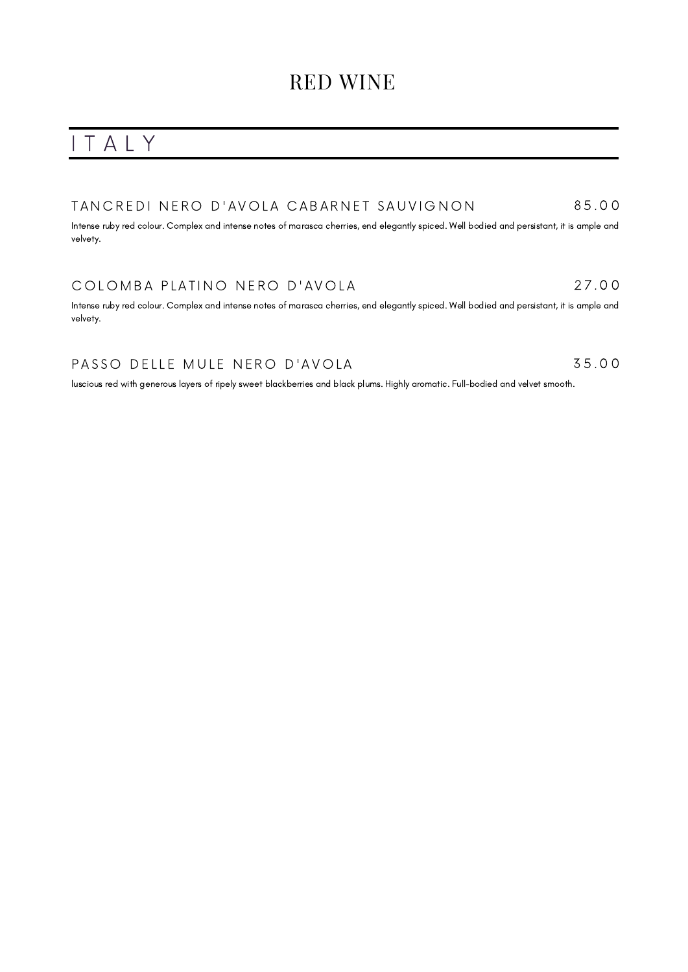## I T A L Y

#### TAN CREDINERO D'AVOLA CABARNET SAUVIGNON 8 5 . 0 0

Intense ruby red colour. Complex and intense notes of marasca cherries, end elegantly spiced. Well bodied and persistant, it is ample and velvety.

### COLOMBA PLATINO NERO D'AVOLA

Intense ruby red colour. Complex and intense notes of marasca cherries, end elegantly spiced. Well bodied and persistant, it is ample and velvety.

2 7 . 0 0

3 5 . 0 0

### PASSO DELLE MULE NERO D'AVOLA

luscious red with generous layers of ripely sweet blackberries and black plums. Highly aromatic. Full-bodied and velvet smooth.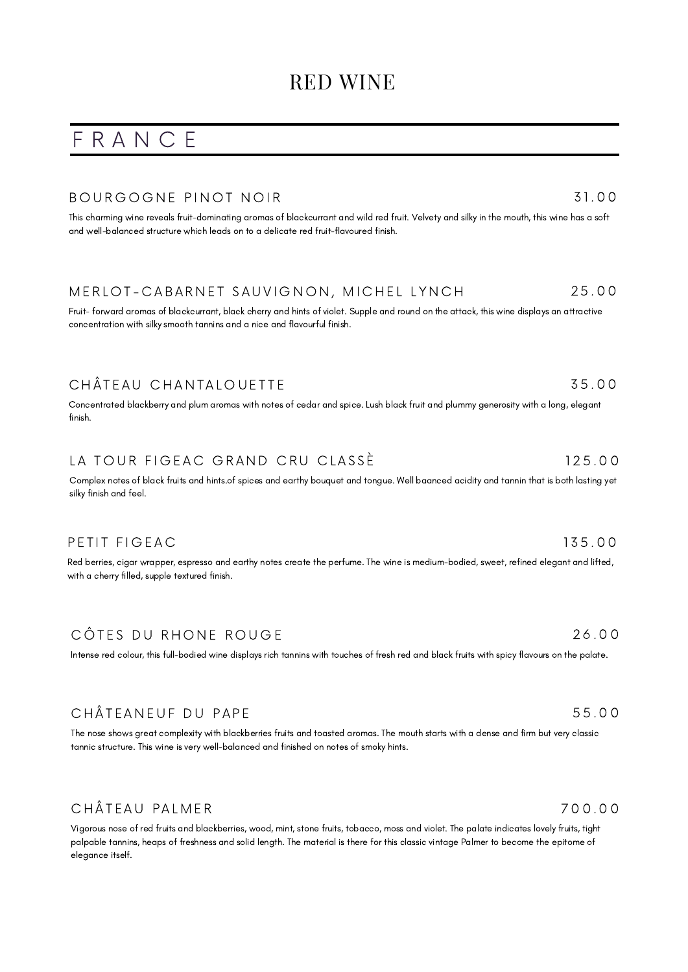## F R A N C E

### BOURGOGNE PINOT NOIR

This charming wine reveals fruit-dominating aromas of blackcurrant and wild red fruit. Velvety and silky in the mouth, this wine has a soft and well-balanced structure which leads on to a delicate red fruit-flavoured finish.

#### MERLOT-CABARNET SAUVIGNON, MICHEL LYNCH 2 5 . 0 0

Fruit- forward aromas of blackcurrant, black cherry and hints of violet. Supple and round on the attack, this wine displays an attractive concentration with silky smooth tannins and a nice and flavourful finish.

## CHÂTEAU CHANTALOUETTE

Concentrated blackberry and plum aromas with notes of cedar and spice. Lush black fruit and plummy generosity with a long, elegant finish.

#### LA TOUR FIGEAC GRAND CRU CLASSE 1 2 5 . 0 0

Complex notes of black fruits and hints.of spices and earthy bouquet and tongue. Well [baanced](https://www.vivino.com/users/jimmy.cadena/reviews/111406791) acidity and tannin that is both lasting yet silky finish and feel.

### PETIT FIGEAC

Red berries, cigar wrapper, espresso and earthy notes create the perfume. The wine is medium-bodied, sweet, refined elegant and lifted, with a cherry filled, supple textured finish.

## CÔTES DU RHONE ROUGE

Intense red colour, this full-bodied wine displays rich tannins with touches of fresh red and black fruits with spicy flavours on the palate.

## CHÂTEANEUF DU PAPE

The nose shows great complexity with blackberries fruits and toasted aromas. The mouth starts with a dense and firm but very classic tannic structure. This wine is very well-balanced and finished on notes of smoky hints.

## CHÂTEAU PALMER

Vigorous nose of red fruits and blackberries, wood, mint, stone fruits, tobacco, moss and violet. The palate indicates lovely fruits, tight palpable tannins, heaps of freshness and solid length. The material is there for this classic vintage Palmer to become the epitome of elegance itself.

7 0 0 . 0 0

5 5 . 0 0

1 3 5 . 0 0

## 2 6 . 0 0

### 3 1. 0 0

## 3 5 . 0 0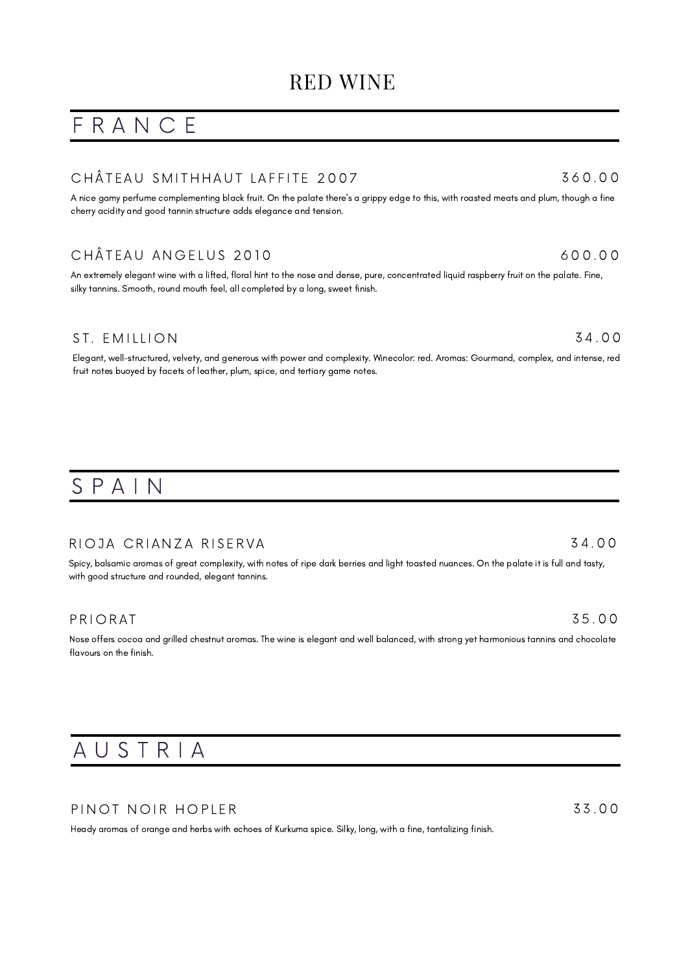## F R A N C E

### CHÂTEAU SMITHHAUT LAFFITE 2007

A nice gamy perfume complementing black fruit. On the palate there's a grippy edge to this, with roasted meats and plum, though a fine cherry acidity and good tannin structure adds elegance and tension.

## CHÂTEAU ANGELUS 2010

An extremely elegant wine with a lifted, floral hint to the nose and dense, pure, concentrated liquid raspberry fruit on the palate. Fine, silky tannins. Smooth, round mouth feel, all completed by a long, sweet finish.

### ST. EMILLION

Elegant, well-structured, velvety, and generous with power and complexity. Winecolor: red. Aromas: Gourmand, complex, and intense, red fruit notes buoyed by facets of leather, plum, spice, and tertiary game notes.

## S P A I N

### RIOJA CRIANZA RISERVA

Spicy, balsamic aromas of great complexity, with notes of ripe dark berries and light toasted nuances. On the palate it is full and tasty, with good structure and rounded, elegant tannins.

### **PRIORAT**

Nose offers cocoa and grilled chestnut aromas. The wine is elegant and well balanced, with strong yet harmonious tannins and chocolate flavours on the finish.

## A U S T R I A

### PINOT NOIR HOPLER

Heady aromas of orange and herbs with echoes of Kurkuma spice. Silky, long, with a fine, tantalizing finish.

3 3 . 0 0

### 3 4 . 0 0

# 3 5 . 0 0

## 6 0 0 . 0 0

3 6 0 . 0 0

3 4 . 0 0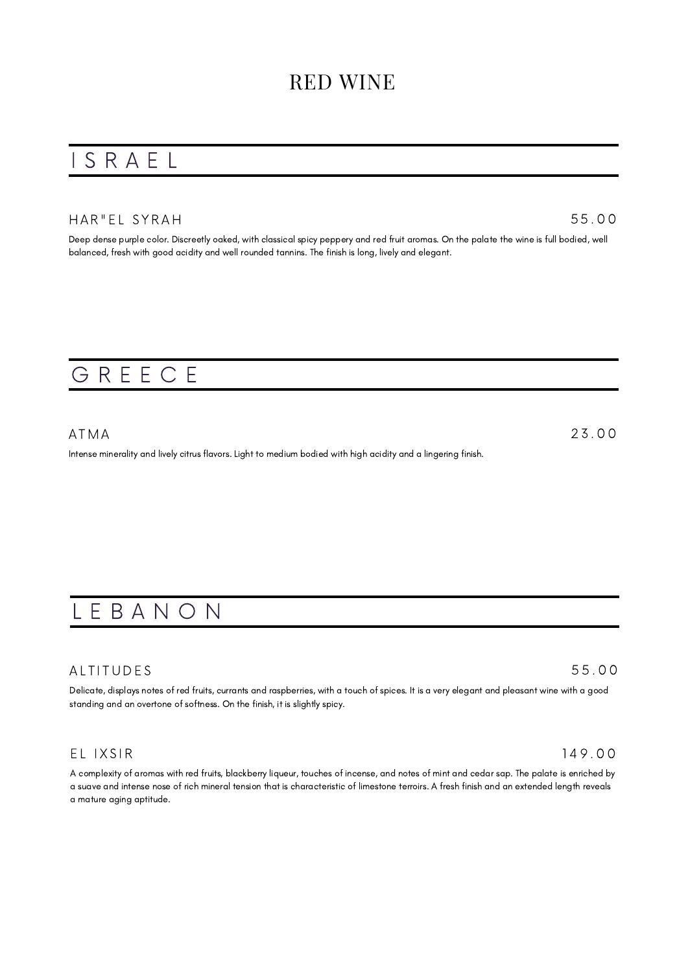## I S R A E L

### HAR" EL SYRAH

5 5 . 0 0

Deep dense purple color. Discreetly oaked, with classical spicy peppery and red fruit aromas. On the palate the wine is full bodied, well balanced, fresh with good acidity and well rounded tannins. The finish is long, lively and elegant.

## G R E E C E

A T M A Intense minerality and lively citrus flavors. Light to medium bodied with high acidity and a lingering finish. 2 3 . 0 0

## L E B A N O N

### **ALTITUDES**

Delicate, displays notes of red fruits, currants and raspberries, with a touch of spices. It is a very elegant and pleasant wine with a good standing and an overtone of softness. On the finish, it is slightly spicy.

### EL IXSIR

A complexity of aromas with red fruits, blackberry liqueur, touches of incense, and notes of mint and cedar sap. The palate is enriched by a suave and intense nose of rich mineral tension that is characteristic of limestone terroirs. A fresh finish and an extended length reveals a mature aging aptitude.

### 5 5 . 0 0

1 4 9 . 0 0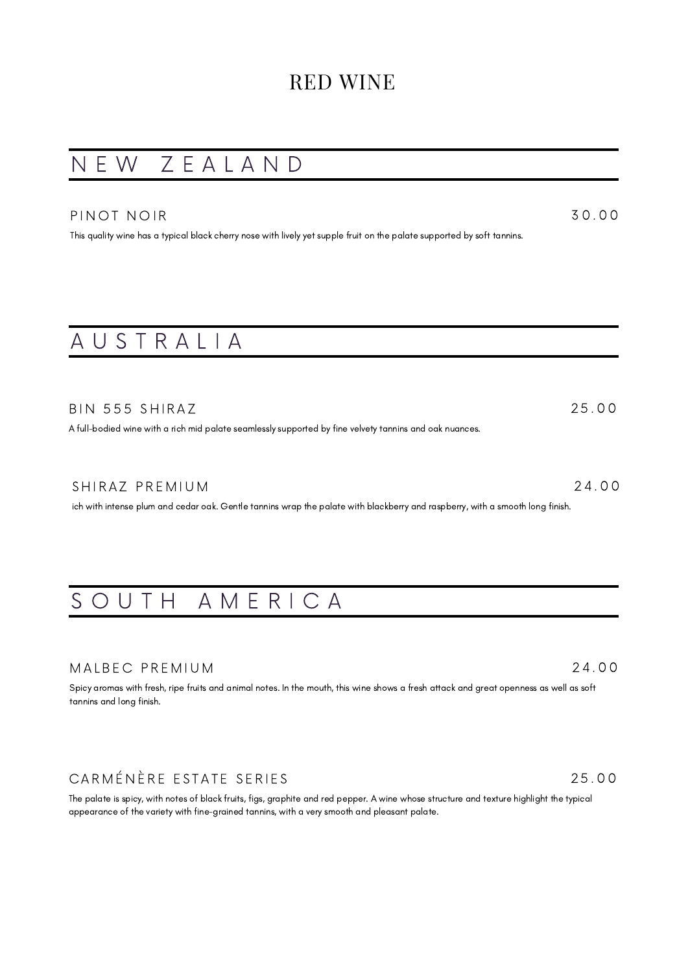## N E W Z E A L A N D

### PINOT NOIR

This quality wine has a typical black cherry nose with lively yet supple fruit on the palate supported by soft tannins.

# A U S T R A L I A

| BIN 555 SHIRAZ                                                                                          | 25.00 |
|---------------------------------------------------------------------------------------------------------|-------|
| A full-bodied wine with a rich mid palate seamlessly supported by fine velvety tannins and oak nuances. |       |

### SHIRAZ PREMIUM 2 4 . 0 0

ich with intense plum and cedar oak. Gentle tannins wrap the palate with blackberry and raspberry, with a smooth long finish.

## SOUTH AMERICA

### MALBEC PREMIUM

Spicy aromas with fresh, ripe fruits and animal notes. In the mouth, this wine shows a fresh attack and great openness as well as soft tannins and long finish.

## CARMÉNÈRE ESTATE SERIES

The palate is spicy, with notes of black fruits, figs, graphite and red pepper. A wine whose structure and texture highlight the typical appearance of the variety with fine-grained tannins, with a very smooth and pleasant palate.

### 2 4 . 0 0

3 0 . 0 0

2 5 . 0 0